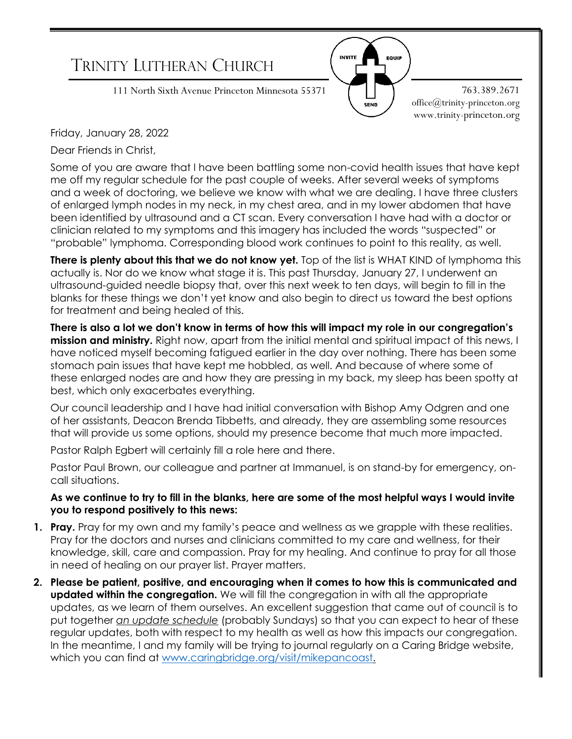

Dear Friends in Christ,

Some of you are aware that I have been battling some non-covid health issues that have kept me off my regular schedule for the past couple of weeks. After several weeks of symptoms and a week of doctoring, we believe we know with what we are dealing. I have three clusters of enlarged lymph nodes in my neck, in my chest area, and in my lower abdomen that have been identified by ultrasound and a CT scan. Every conversation I have had with a doctor or clinician related to my symptoms and this imagery has included the words "suspected" or "probable" lymphoma. Corresponding blood work continues to point to this reality, as well.

**There is plenty about this that we do not know yet.** Top of the list is WHAT KIND of lymphoma this actually is. Nor do we know what stage it is. This past Thursday, January 27, I underwent an ultrasound-guided needle biopsy that, over this next week to ten days, will begin to fill in the blanks for these things we don't yet know and also begin to direct us toward the best options for treatment and being healed of this.

**There is also a lot we don't know in terms of how this will impact my role in our congregation's mission and ministry.** Right now, apart from the initial mental and spiritual impact of this news, I have noticed myself becoming fatigued earlier in the day over nothing. There has been some stomach pain issues that have kept me hobbled, as well. And because of where some of these enlarged nodes are and how they are pressing in my back, my sleep has been spotty at best, which only exacerbates everything.

Our council leadership and I have had initial conversation with Bishop Amy Odgren and one of her assistants, Deacon Brenda Tibbetts, and already, they are assembling some resources that will provide us some options, should my presence become that much more impacted.

Pastor Ralph Egbert will certainly fill a role here and there.

Pastor Paul Brown, our colleague and partner at Immanuel, is on stand-by for emergency, oncall situations.

## **As we continue to try to fill in the blanks, here are some of the most helpful ways I would invite you to respond positively to this news:**

- **1. Pray.** Pray for my own and my family's peace and wellness as we grapple with these realities. Pray for the doctors and nurses and clinicians committed to my care and wellness, for their knowledge, skill, care and compassion. Pray for my healing. And continue to pray for all those in need of healing on our prayer list. Prayer matters.
- **2. Please be patient, positive, and encouraging when it comes to how this is communicated and updated within the congregation.** We will fill the congregation in with all the appropriate updates, as we learn of them ourselves. An excellent suggestion that came out of council is to put together *an update schedule* (probably Sundays) so that you can expect to hear of these regular updates, both with respect to my health as well as how this impacts our congregation. In the meantime, I and my family will be trying to journal regularly on a Caring Bridge website, which you can find at [www.caringbridge.org/visit/mikepancoast.](http://www.caringbridge.org/visit/mikepancoast)